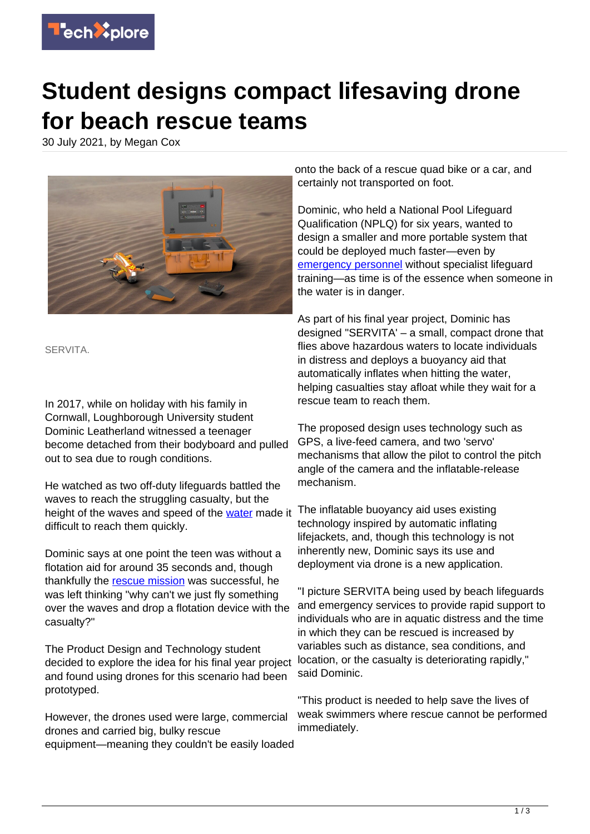

## **Student designs compact lifesaving drone for beach rescue teams**

30 July 2021, by Megan Cox



SERVITA.

In 2017, while on holiday with his family in Cornwall, Loughborough University student Dominic Leatherland witnessed a teenager become detached from their bodyboard and pulled out to sea due to rough conditions.

He watched as two off-duty lifeguards battled the waves to reach the struggling casualty, but the height of the waves and speed of the [water](https://techxplore.com/tags/water/) made it difficult to reach them quickly.

Dominic says at one point the teen was without a flotation aid for around 35 seconds and, though thankfully the [rescue mission](https://techxplore.com/tags/rescue+mission/) was successful, he was left thinking "why can't we just fly something over the waves and drop a flotation device with the casualty?"

The Product Design and Technology student decided to explore the idea for his final year project and found using drones for this scenario had been prototyped.

However, the drones used were large, commercial drones and carried big, bulky rescue equipment—meaning they couldn't be easily loaded

onto the back of a rescue quad bike or a car, and certainly not transported on foot.

Dominic, who held a National Pool Lifeguard Qualification (NPLQ) for six years, wanted to design a smaller and more portable system that could be deployed much faster—even by [emergency personnel](https://techxplore.com/tags/emergency+personnel/) without specialist lifeguard training—as time is of the essence when someone in the water is in danger.

As part of his final year project, Dominic has designed "SERVITA' – a small, compact drone that flies above hazardous waters to locate individuals in distress and deploys a buoyancy aid that automatically inflates when hitting the water, helping casualties stay afloat while they wait for a rescue team to reach them.

The proposed design uses technology such as GPS, a live-feed camera, and two 'servo' mechanisms that allow the pilot to control the pitch angle of the camera and the inflatable-release mechanism.

The inflatable buoyancy aid uses existing technology inspired by automatic inflating lifejackets, and, though this technology is not inherently new, Dominic says its use and deployment via drone is a new application.

"I picture SERVITA being used by beach lifeguards and emergency services to provide rapid support to individuals who are in aquatic distress and the time in which they can be rescued is increased by variables such as distance, sea conditions, and location, or the casualty is deteriorating rapidly," said Dominic.

"This product is needed to help save the lives of weak swimmers where rescue cannot be performed immediately.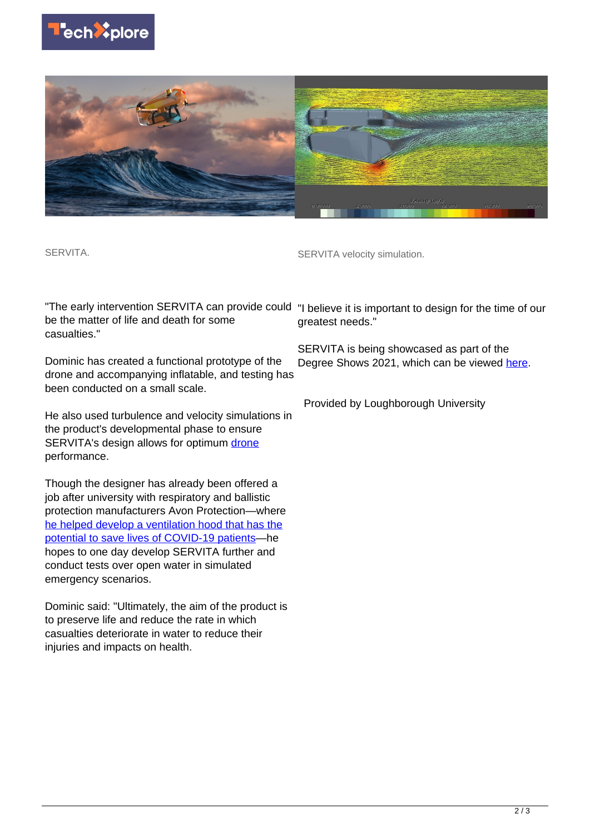



SERVITA.

SERVITA velocity simulation.

be the matter of life and death for some casualties."

Dominic has created a functional prototype of the drone and accompanying inflatable, and testing has been conducted on a small scale.

He also used turbulence and velocity simulations in the product's developmental phase to ensure SERVITA's design allows for optimum [drone](https://techxplore.com/tags/drone/) performance.

Though the designer has already been offered a job after university with respiratory and ballistic protection manufacturers Avon Protection—where [he helped develop a ventilation hood that has the](https://www.lboro.ac.uk/media-centre/press-releases/2021/april/student-designs-COVID19-ventilation-hood/) [potential to save lives of COVID-19 patients](https://www.lboro.ac.uk/media-centre/press-releases/2021/april/student-designs-COVID19-ventilation-hood/)—he hopes to one day develop SERVITA further and conduct tests over open water in simulated emergency scenarios.

Dominic said: "Ultimately, the aim of the product is to preserve life and reduce the rate in which casualties deteriorate in water to reduce their injuries and impacts on health.

"The early intervention SERVITA can provide could "I believe it is important to design for the time of our greatest needs."

> SERVITA is being showcased as part of the Degree Shows 2021, which can be viewed [here.](https://sdcashow2021.lboro.ac.uk/)

Provided by Loughborough University